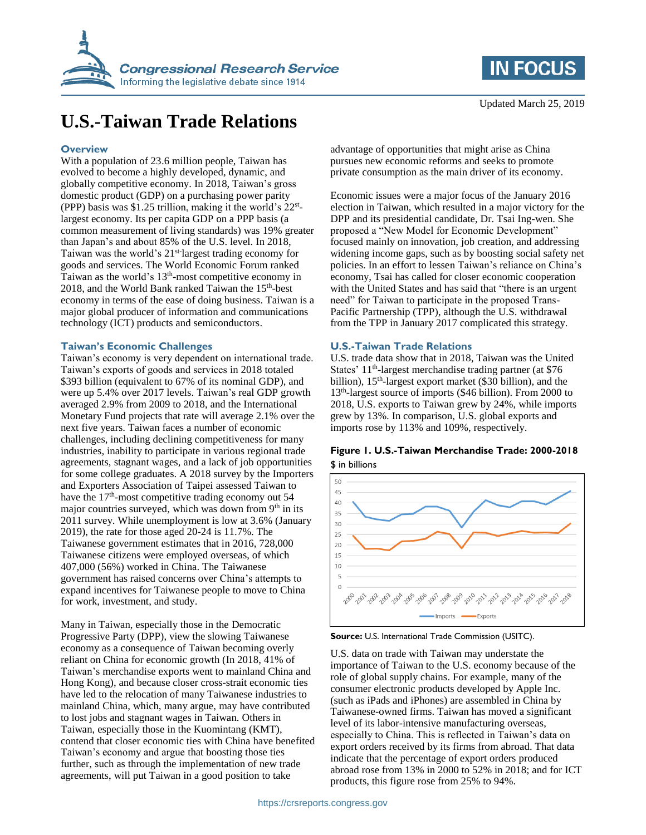

# **U.S.-Taiwan Trade Relations**

#### **Overview**

With a population of 23.6 million people, Taiwan has evolved to become a highly developed, dynamic, and globally competitive economy. In 2018, Taiwan's gross domestic product (GDP) on a purchasing power parity (PPP) basis was \$1.25 trillion, making it the world's 22<sup>st</sup>largest economy. Its per capita GDP on a PPP basis (a common measurement of living standards) was 19% greater than Japan's and about 85% of the U.S. level. In 2018, Taiwan was the world's 21<sup>st-</sup>largest trading economy for goods and services. The World Economic Forum ranked Taiwan as the world's 13<sup>th</sup>-most competitive economy in 2018, and the World Bank ranked Taiwan the 15<sup>th</sup>-best economy in terms of the ease of doing business. Taiwan is a major global producer of information and communications technology (ICT) products and semiconductors.

## **Taiwan's Economic Challenges**

Taiwan's economy is very dependent on international trade. Taiwan's exports of goods and services in 2018 totaled \$393 billion (equivalent to 67% of its nominal GDP), and were up 5.4% over 2017 levels. Taiwan's real GDP growth averaged 2.9% from 2009 to 2018, and the International Monetary Fund projects that rate will average 2.1% over the next five years. Taiwan faces a number of economic challenges, including declining competitiveness for many industries, inability to participate in various regional trade agreements, stagnant wages, and a lack of job opportunities for some college graduates. A 2018 survey by the Importers and Exporters Association of Taipei assessed Taiwan to have the  $17<sup>th</sup>$ -most competitive trading economy out 54 major countries surveyed, which was down from  $9<sup>th</sup>$  in its 2011 survey. While unemployment is low at 3.6% (January 2019), the rate for those aged 20-24 is 11.7%. The Taiwanese government estimates that in 2016, 728,000 Taiwanese citizens were employed overseas, of which 407,000 (56%) worked in China. The Taiwanese government has raised concerns over China's attempts to expand incentives for Taiwanese people to move to China for work, investment, and study.

Many in Taiwan, especially those in the Democratic Progressive Party (DPP), view the slowing Taiwanese economy as a consequence of Taiwan becoming overly reliant on China for economic growth (In 2018, 41% of Taiwan's merchandise exports went to mainland China and Hong Kong), and because closer cross-strait economic ties have led to the relocation of many Taiwanese industries to mainland China, which, many argue, may have contributed to lost jobs and stagnant wages in Taiwan. Others in Taiwan, especially those in the Kuomintang (KMT), contend that closer economic ties with China have benefited Taiwan's economy and argue that boosting those ties further, such as through the implementation of new trade agreements, will put Taiwan in a good position to take



advantage of opportunities that might arise as China pursues new economic reforms and seeks to promote private consumption as the main driver of its economy.

Economic issues were a major focus of the January 2016 election in Taiwan, which resulted in a major victory for the DPP and its presidential candidate, Dr. Tsai Ing-wen. She proposed a "New Model for Economic Development" focused mainly on innovation, job creation, and addressing widening income gaps, such as by boosting social safety net policies. In an effort to lessen Taiwan's reliance on China's economy, Tsai has called for closer economic cooperation with the United States and has said that "there is an urgent need" for Taiwan to participate in the proposed Trans-Pacific Partnership (TPP), although the U.S. withdrawal from the TPP in January 2017 complicated this strategy.

#### **U.S.-Taiwan Trade Relations**

U.S. trade data show that in 2018, Taiwan was the United States' 11<sup>th</sup>-largest merchandise trading partner (at \$76 billion), 15<sup>th</sup>-largest export market (\$30 billion), and the 13<sup>th</sup>-largest source of imports (\$46 billion). From 2000 to 2018, U.S. exports to Taiwan grew by 24%, while imports grew by 13%. In comparison, U.S. global exports and imports rose by 113% and 109%, respectively.

## **Figure 1. U.S.-Taiwan Merchandise Trade: 2000-2018** \$ in billions



**Source:** U.S. International Trade Commission (USITC).

U.S. data on trade with Taiwan may understate the importance of Taiwan to the U.S. economy because of the role of global supply chains. For example, many of the consumer electronic products developed by Apple Inc. (such as iPads and iPhones) are assembled in China by Taiwanese-owned firms. Taiwan has moved a significant level of its labor-intensive manufacturing overseas, especially to China. This is reflected in Taiwan's data on export orders received by its firms from abroad. That data indicate that the percentage of export orders produced abroad rose from 13% in 2000 to 52% in 2018; and for ICT products, this figure rose from 25% to 94%.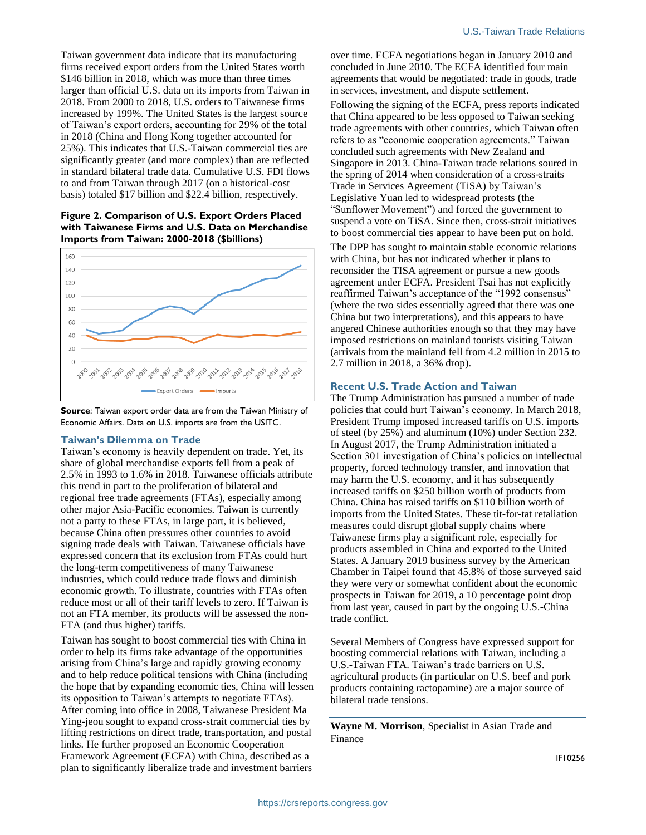Taiwan government data indicate that its manufacturing firms received export orders from the United States worth \$146 billion in 2018, which was more than three times larger than official U.S. data on its imports from Taiwan in 2018. From 2000 to 2018, U.S. orders to Taiwanese firms increased by 199%. The United States is the largest source of Taiwan's export orders, accounting for 29% of the total in 2018 (China and Hong Kong together accounted for 25%). This indicates that U.S.-Taiwan commercial ties are significantly greater (and more complex) than are reflected in standard bilateral trade data. Cumulative U.S. FDI flows to and from Taiwan through 2017 (on a historical-cost basis) totaled \$17 billion and \$22.4 billion, respectively.

**Figure 2. Comparison of U.S. Export Orders Placed with Taiwanese Firms and U.S. Data on Merchandise Imports from Taiwan: 2000-2018 (\$billions)**



**Source**: Taiwan export order data are from the Taiwan Ministry of Economic Affairs. Data on U.S. imports are from the USITC.

#### **Taiwan's Dilemma on Trade**

Taiwan's economy is heavily dependent on trade. Yet, its share of global merchandise exports fell from a peak of 2.5% in 1993 to 1.6% in 2018. Taiwanese officials attribute this trend in part to the proliferation of bilateral and regional free trade agreements (FTAs), especially among other major Asia-Pacific economies. Taiwan is currently not a party to these FTAs, in large part, it is believed, because China often pressures other countries to avoid signing trade deals with Taiwan. Taiwanese officials have expressed concern that its exclusion from FTAs could hurt the long-term competitiveness of many Taiwanese industries, which could reduce trade flows and diminish economic growth. To illustrate, countries with FTAs often reduce most or all of their tariff levels to zero. If Taiwan is not an FTA member, its products will be assessed the non-FTA (and thus higher) tariffs.

Taiwan has sought to boost commercial ties with China in order to help its firms take advantage of the opportunities arising from China's large and rapidly growing economy and to help reduce political tensions with China (including the hope that by expanding economic ties, China will lessen its opposition to Taiwan's attempts to negotiate FTAs). After coming into office in 2008, Taiwanese President Ma Ying-jeou sought to expand cross-strait commercial ties by lifting restrictions on direct trade, transportation, and postal links. He further proposed an Economic Cooperation Framework Agreement (ECFA) with China, described as a plan to significantly liberalize trade and investment barriers

over time. ECFA negotiations began in January 2010 and concluded in June 2010. The ECFA identified four main agreements that would be negotiated: trade in goods, trade in services, investment, and dispute settlement.

Following the signing of the ECFA, press reports indicated that China appeared to be less opposed to Taiwan seeking trade agreements with other countries, which Taiwan often refers to as "economic cooperation agreements." Taiwan concluded such agreements with New Zealand and Singapore in 2013. China-Taiwan trade relations soured in the spring of 2014 when consideration of a cross-straits Trade in Services Agreement (TiSA) by Taiwan's Legislative Yuan led to widespread protests (the "Sunflower Movement") and forced the government to suspend a vote on TiSA. Since then, cross-strait initiatives to boost commercial ties appear to have been put on hold.

The DPP has sought to maintain stable economic relations with China, but has not indicated whether it plans to reconsider the TISA agreement or pursue a new goods agreement under ECFA. President Tsai has not explicitly reaffirmed Taiwan's acceptance of the "1992 consensus" (where the two sides essentially agreed that there was one China but two interpretations), and this appears to have angered Chinese authorities enough so that they may have imposed restrictions on mainland tourists visiting Taiwan (arrivals from the mainland fell from 4.2 million in 2015 to 2.7 million in 2018, a 36% drop).

#### **Recent U.S. Trade Action and Taiwan**

The Trump Administration has pursued a number of trade policies that could hurt Taiwan's economy. In March 2018, President Trump imposed increased tariffs on U.S. imports of steel (by 25%) and aluminum (10%) under Section 232. In August 2017, the Trump Administration initiated a Section 301 investigation of China's policies on intellectual property, forced technology transfer, and innovation that may harm the U.S. economy, and it has subsequently increased tariffs on \$250 billion worth of products from China. China has raised tariffs on \$110 billion worth of imports from the United States. These tit-for-tat retaliation measures could disrupt global supply chains where Taiwanese firms play a significant role, especially for products assembled in China and exported to the United States. A January 2019 business survey by the American Chamber in Taipei found that 45.8% of those surveyed said they were very or somewhat confident about the economic prospects in Taiwan for 2019, a 10 percentage point drop from last year, caused in part by the ongoing U.S.-China trade conflict.

Several Members of Congress have expressed support for boosting commercial relations with Taiwan, including a U.S.-Taiwan FTA. Taiwan's trade barriers on U.S. agricultural products (in particular on U.S. beef and pork products containing ractopamine) are a major source of bilateral trade tensions.

**Wayne M. Morrison**, Specialist in Asian Trade and Finance